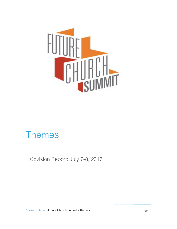

# Themes

Covision Report: July 7-8, 2017

Covision Report: Future Church Summit - Themes **Page 1** Page 1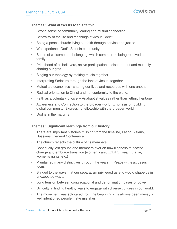## **Themes: What draws us to this faith?**

- Strong sense of community, caring and mutual connection.
- Centrality of the life and teachings of Jesus Christ
- Being a peace church: living out faith through service and justice
- We experience God's Spirit in community
- Sense of welcome and belonging, which comes from being received as family
- Priesthood of all believers, active participation in discernment and mutually sharing our gifts
- Singing our theology by making music together
- Interpreting Scripture through the lens of Jesus, together
- Mutual aid economics sharing our lives and resources with one another
- Radical orientation to Christ and nonconformity to the world.
- Faith as a voluntary choice -- Anabaptist values rather than "ethnic heritage"
- Awareness and Connection to the broader world. Emphasis on building global community. Expressing fellowship with the broader world.
- God is in the margins

## **Themes: Significant learnings from our history**

- There are important histories missing from the timeline, Latino, Asians, Russians, General Conference...
- The church reflects the culture of its members
- Continually lost groups and members over an unwillingness to accept change and embrace transition (women, cars, LGBTQ, wearing a tie, women's rights, etc.)
- Maintained many distinctives through the years ... Peace witness, Jesus focus
- Blinded to the ways that our separatism privileged us and would shape us in unexpected ways.
- Long tension between congregational and denomination bases of power
- Difficulty in finding healthy ways to engage with diverse cultures in our world.
- The movement was splintered from the beginning Its always been messy well intentioned people make mistakes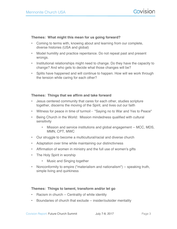#### **Themes: What might this mean for us going forward?**

- Coming to terms with, knowing about and learning from our complete, diverse histories (USA and global)
- Model humility and practice repentance. Do not repeat past and present wrongs.
- Institutional relationships might need to change. Do they have the capacity to change? And who gets to decide what those changes will be?
- Splits have happened and will continue to happen. How will we work through the tension while caring for each other?

## **Themes: Things that we affirm and take forward**

- Jesus centered community that cares for each other, studies scripture together, discerns the moving of the Spirit, and lives out our faith
- Witness for peace in time of turmoil "Saying no to War and Yes to Peace"
- Being Church in the World: Mission mindedness qualified with cultural sensitivity
	- Mission and service institutions and global engagement -- MCC, MDS, MMN, CPT, MWC
- Our struggle to become a multicultural/racial and diverse church
- Adaptation over time while maintaining our distinctivness
- Affirmation of women in ministry and the full use of women's gifts
- The Holy Spirit in worship
	- Music and Singing together
- Nonconformity to empire ("materialism and nationalism") -- speaking truth, simple living and quirkiness

## **Themes: Things to lament, transform and/or let go**

- Racism in church -- Centrality of white identity
- Boundaries of church that exclude -- insider/outsider mentality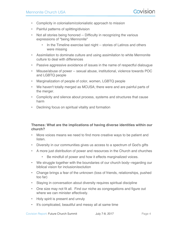- Complicity in colonialism/colonialistic approach to mission
- Painful patterns of splitting/division
- Not all stories being honored -- Difficulty in recognizing the various expressions of "being Mennonite"
	- In the Timeline exercise last night -- stories of Latinos and others were missing
- Assimilation to dominate culture and using assimilation to white Mennonite culture to deal with differences
- Passive aggressive avoidance of issues in the name of respectful dialougue
- Misuse/abuse of power -- sexual abuse, institutional, violence towards POC and LGBTQ people
- Marginalization of people of color, women, LGBTQ people
- We haven't totally merged as MCUSA; there were and are painful parts of the merger.
- Complicity and silence about process, systems and structures that cause harm
- Declining focus on spiritual vitality and formation

# **Themes: What are the implications of having diverse identities within our church?**

- More voices means we need to find more creative ways to be patient and listen.
- Diversity in our communities gives us access to a spectrum of God's gifts
- A more just distribution of power and resources in the Church and churches
	- Be mindfull of power and how it effects marginalized voices.
- We struggle together with the boundaries of our church body--regarding our biblical vision for inclusion/exclution
- Change brings a fear of the unknown (loss of friends, relationships, pushed too far)
- Staying in conversation about diversity requires spiritual discipline
- One size may not fit all. Find our niche as congregations and figure out where we can minister effectively.
- Holy spirit is present and unruly
- It's complicated, beautiful and messy all at same time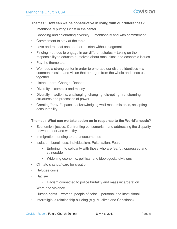#### **Themes: How can we be constructive in living with our differences?**

- Intentionally putting Christ in the center
- Choosing and celebrating diversity -- intentionally and with commitment
- Commitment to stay at the table
- Love and respect one another -- listen without judgment
- Finding methods to engage in our different stories -- taking on the responsibility to educate ourselves about race, class and economic issues
- Pay the theme team
- We need a strong center in order to embrace our diverse identities -- a common mission and vision that emerges from the whole and binds us together
- Listen. Learn. Change. Repeat.
- Diversity is complex and messy
- Diversity in action is: challenging, changing, disrupting, transforming structures and processes of power
- Creating "brave" spaces: acknowledging we'll make mistakes, accepting accountability

## **Themes: What can we take action on in response to the World's needs?**

- Economic injustice: Confronting consumerism and addressing the disparity between poor and wealthy
- Immigration: tending to the undocumented
- Isolation. Loneliness. Individualism. Polarization. Fear.
	- Entering in to solidarity with those who are fearful, oppressed and vulnerable
	- Widening economic, political, and ideologocial divisions
- Climate change/ care for creation
- Refugee crisis
- Racism
	- Racism connected to police brutality and mass incarceration
- Wars and violence
- Human rights -- women, people of color -- personal and institutional
- Interreligious relationship building (e.g. Muslims and Christians)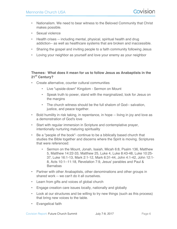- Nationalism. We need to bear witness to the Beloved Community that Christ makes possible.
- Sexual violence
- Health crises -- including mental, physical, spiritual health and drug addiction-- as well as healthcare systems that are broken and inaccessible.
- Sharing the gospel and inviting people to a faith community following Jesus
- Loving your neighbor as yourself and love your enemy as your neighbor

## **Themes: What does it mean for us to follow Jesus as Anabaptists in the 21st Century?**

- Create alternative, counter cultural communities
	- Live "upside-down" Kingdom Sermon on Mount
	- Speak truth to power, stand with the marginalized, look for Jesus on the margins
	- The church witness should be the full shalom of God-- salvation, justice, and peace together.
- Bold humility in risk taking, in repentance, in hope -- living in joy and love as a demonstration of God's love
- Start with regular immersion in Scripture and contemplative prayer, intentionally nurturing maturing spirituality
- Be a "people of the book"- continue to be a biblically based church that studies the Bible together and discerns where the Spirit is moving. Scriptures that were referenced:
	- Sermon on the Mount, Jonah, Isaiah, Micah 6:8, Psalm 136, Matthew 5, Matthew 14:22-33, Matthew 25, Luke 4, Luke 8:43-48, Luke 10:25- 37, Luke 16:1-13, Mark 2:1-12, Mark 6:31-44, John 4:1-42, John 12:1- 8, Acts 10:1--11:18, Revelation 7:9, Jesus' parables and Paul & **Barnabas**
- Partner with other Anabaptists, other denominations and other groups in shared work -- we can't do it all ourselves.
- Learn from gifts and voices of global church
- Engage creation care issues locally, nationally and globally
- Look at our structures and be willing to try new things (such as this process) that bring new voices to the table.
- Evangelical faith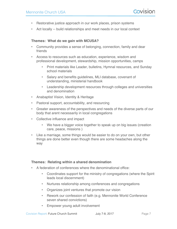- Restorative justice approach in our work places, prison systems
- Act locally -- build relationships and meet needs in our local context

#### **Themes: What do we gain with MCUSA?**

- Community provides a sense of belonging, connection, family and dear friends
- Access to resources such as education, experience, wisdom and professional development, stewardship, mission opportunities, camps
	- Print materials like Leader, bulletins, Hymnal resources, and Sunday school materials
	- Salary and benefits guidelines, MLI database, covenant of understanding, ministerial handbook
	- Leadership development resources through colleges and universities and denomination
- Anabaptist Vision, Identity & Heritage
- Pastoral support, accountability, and resourcing
- Greater awareness of the perspectives and needs of the diverse parts of our body that arent necessarily in local congregations
- Collective influence and impact
	- We have a bigger voice together to speak up on big issues (creation care, peace, missions )
- Like a marriage, some things would be easier to do on your own, but other things are done better even though there are some headaches along the way

## **Themes: Relating within a shared denomination**

- A federation of conferences where the denominational office:
	- Coordinates support for the ministry of congregations (where the Spirit leads local discernment)
	- Nurtures relationship among conferences and congregations
	- Organizes joint ventures that promote our vision
	- Rework our confession of faith (e.g. Mennonite World Conference seven shared convictions)
	- Empower young adult involvement